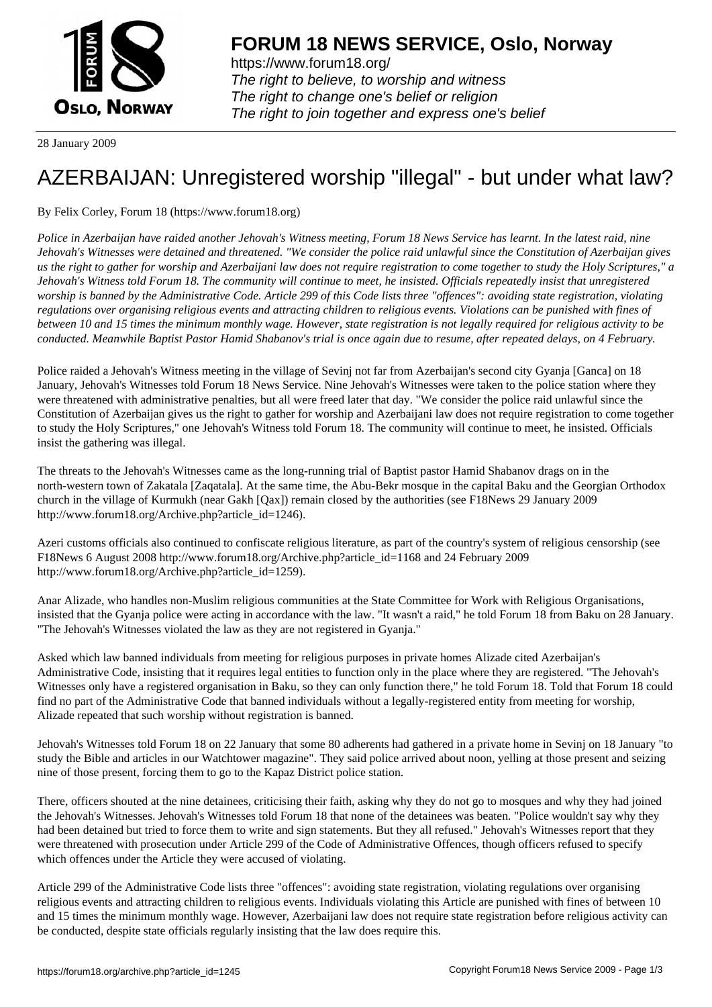

https://www.forum18.org/ The right to believe, to worship and witness The right to change one's belief or religion [The right to join together a](https://www.forum18.org/)nd express one's belief

28 January 2009

## [AZERBAIJAN: U](https://www.forum18.org)nregistered worship "illegal" - but under what law?

By Felix Corley, Forum 18 (https://www.forum18.org)

*Police in Azerbaijan have raided another Jehovah's Witness meeting, Forum 18 News Service has learnt. In the latest raid, nine Jehovah's Witnesses were detained and threatened. "We consider the police raid unlawful since the Constitution of Azerbaijan gives us the right to gather for worship and Azerbaijani law does not require registration to come together to study the Holy Scriptures," a Jehovah's Witness told Forum 18. The community will continue to meet, he insisted. Officials repeatedly insist that unregistered worship is banned by the Administrative Code. Article 299 of this Code lists three "offences": avoiding state registration, violating regulations over organising religious events and attracting children to religious events. Violations can be punished with fines of between 10 and 15 times the minimum monthly wage. However, state registration is not legally required for religious activity to be conducted. Meanwhile Baptist Pastor Hamid Shabanov's trial is once again due to resume, after repeated delays, on 4 February.*

Police raided a Jehovah's Witness meeting in the village of Sevinj not far from Azerbaijan's second city Gyanja [Ganca] on 18 January, Jehovah's Witnesses told Forum 18 News Service. Nine Jehovah's Witnesses were taken to the police station where they were threatened with administrative penalties, but all were freed later that day. "We consider the police raid unlawful since the Constitution of Azerbaijan gives us the right to gather for worship and Azerbaijani law does not require registration to come together to study the Holy Scriptures," one Jehovah's Witness told Forum 18. The community will continue to meet, he insisted. Officials insist the gathering was illegal.

The threats to the Jehovah's Witnesses came as the long-running trial of Baptist pastor Hamid Shabanov drags on in the north-western town of Zakatala [Zaqatala]. At the same time, the Abu-Bekr mosque in the capital Baku and the Georgian Orthodox church in the village of Kurmukh (near Gakh [Qax]) remain closed by the authorities (see F18News 29 January 2009 http://www.forum18.org/Archive.php?article\_id=1246).

Azeri customs officials also continued to confiscate religious literature, as part of the country's system of religious censorship (see F18News 6 August 2008 http://www.forum18.org/Archive.php?article\_id=1168 and 24 February 2009 http://www.forum18.org/Archive.php?article\_id=1259).

Anar Alizade, who handles non-Muslim religious communities at the State Committee for Work with Religious Organisations, insisted that the Gyanja police were acting in accordance with the law. "It wasn't a raid," he told Forum 18 from Baku on 28 January. "The Jehovah's Witnesses violated the law as they are not registered in Gyanja."

Asked which law banned individuals from meeting for religious purposes in private homes Alizade cited Azerbaijan's Administrative Code, insisting that it requires legal entities to function only in the place where they are registered. "The Jehovah's Witnesses only have a registered organisation in Baku, so they can only function there," he told Forum 18. Told that Forum 18 could find no part of the Administrative Code that banned individuals without a legally-registered entity from meeting for worship, Alizade repeated that such worship without registration is banned.

Jehovah's Witnesses told Forum 18 on 22 January that some 80 adherents had gathered in a private home in Sevinj on 18 January "to study the Bible and articles in our Watchtower magazine". They said police arrived about noon, yelling at those present and seizing nine of those present, forcing them to go to the Kapaz District police station.

There, officers shouted at the nine detainees, criticising their faith, asking why they do not go to mosques and why they had joined the Jehovah's Witnesses. Jehovah's Witnesses told Forum 18 that none of the detainees was beaten. "Police wouldn't say why they had been detained but tried to force them to write and sign statements. But they all refused." Jehovah's Witnesses report that they were threatened with prosecution under Article 299 of the Code of Administrative Offences, though officers refused to specify which offences under the Article they were accused of violating.

Article 299 of the Administrative Code lists three "offences": avoiding state registration, violating regulations over organising religious events and attracting children to religious events. Individuals violating this Article are punished with fines of between 10 and 15 times the minimum monthly wage. However, Azerbaijani law does not require state registration before religious activity can be conducted, despite state officials regularly insisting that the law does require this.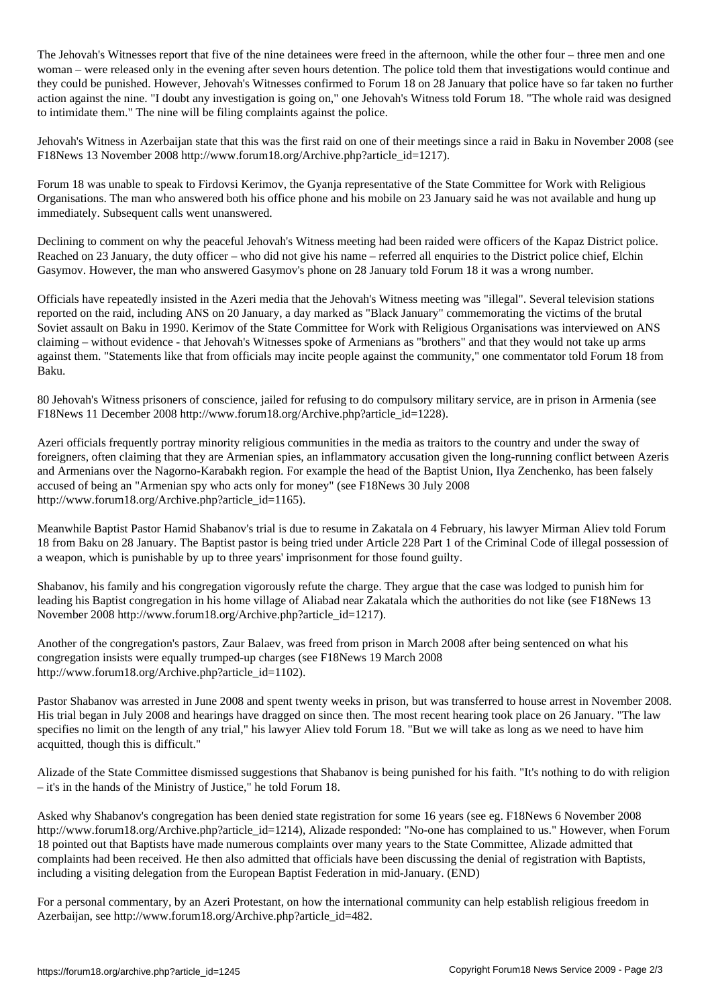The Jehovah's Witnesses report that five of the nine detained in the afternoon, while the other four  $\ell$ woman – were released only in the evening after seven hours detention. The police told them that investigations would continue and they could be punished. However, Jehovah's Witnesses confirmed to Forum 18 on 28 January that police have so far taken no further action against the nine. "I doubt any investigation is going on," one Jehovah's Witness told Forum 18. "The whole raid was designed to intimidate them." The nine will be filing complaints against the police.

Jehovah's Witness in Azerbaijan state that this was the first raid on one of their meetings since a raid in Baku in November 2008 (see F18News 13 November 2008 http://www.forum18.org/Archive.php?article\_id=1217).

Forum 18 was unable to speak to Firdovsi Kerimov, the Gyanja representative of the State Committee for Work with Religious Organisations. The man who answered both his office phone and his mobile on 23 January said he was not available and hung up immediately. Subsequent calls went unanswered.

Declining to comment on why the peaceful Jehovah's Witness meeting had been raided were officers of the Kapaz District police. Reached on 23 January, the duty officer – who did not give his name – referred all enquiries to the District police chief, Elchin Gasymov. However, the man who answered Gasymov's phone on 28 January told Forum 18 it was a wrong number.

Officials have repeatedly insisted in the Azeri media that the Jehovah's Witness meeting was "illegal". Several television stations reported on the raid, including ANS on 20 January, a day marked as "Black January" commemorating the victims of the brutal Soviet assault on Baku in 1990. Kerimov of the State Committee for Work with Religious Organisations was interviewed on ANS claiming – without evidence - that Jehovah's Witnesses spoke of Armenians as "brothers" and that they would not take up arms against them. "Statements like that from officials may incite people against the community," one commentator told Forum 18 from Baku.

80 Jehovah's Witness prisoners of conscience, jailed for refusing to do compulsory military service, are in prison in Armenia (see F18News 11 December 2008 http://www.forum18.org/Archive.php?article\_id=1228).

Azeri officials frequently portray minority religious communities in the media as traitors to the country and under the sway of foreigners, often claiming that they are Armenian spies, an inflammatory accusation given the long-running conflict between Azeris and Armenians over the Nagorno-Karabakh region. For example the head of the Baptist Union, Ilya Zenchenko, has been falsely accused of being an "Armenian spy who acts only for money" (see F18News 30 July 2008 http://www.forum18.org/Archive.php?article\_id=1165).

Meanwhile Baptist Pastor Hamid Shabanov's trial is due to resume in Zakatala on 4 February, his lawyer Mirman Aliev told Forum 18 from Baku on 28 January. The Baptist pastor is being tried under Article 228 Part 1 of the Criminal Code of illegal possession of a weapon, which is punishable by up to three years' imprisonment for those found guilty.

Shabanov, his family and his congregation vigorously refute the charge. They argue that the case was lodged to punish him for leading his Baptist congregation in his home village of Aliabad near Zakatala which the authorities do not like (see F18News 13 November 2008 http://www.forum18.org/Archive.php?article\_id=1217).

Another of the congregation's pastors, Zaur Balaev, was freed from prison in March 2008 after being sentenced on what his congregation insists were equally trumped-up charges (see F18News 19 March 2008 http://www.forum18.org/Archive.php?article\_id=1102).

Pastor Shabanov was arrested in June 2008 and spent twenty weeks in prison, but was transferred to house arrest in November 2008. His trial began in July 2008 and hearings have dragged on since then. The most recent hearing took place on 26 January. "The law specifies no limit on the length of any trial," his lawyer Aliev told Forum 18. "But we will take as long as we need to have him acquitted, though this is difficult."

Alizade of the State Committee dismissed suggestions that Shabanov is being punished for his faith. "It's nothing to do with religion – it's in the hands of the Ministry of Justice," he told Forum 18.

Asked why Shabanov's congregation has been denied state registration for some 16 years (see eg. F18News 6 November 2008 http://www.forum18.org/Archive.php?article\_id=1214), Alizade responded: "No-one has complained to us." However, when Forum 18 pointed out that Baptists have made numerous complaints over many years to the State Committee, Alizade admitted that complaints had been received. He then also admitted that officials have been discussing the denial of registration with Baptists, including a visiting delegation from the European Baptist Federation in mid-January. (END)

For a personal commentary, by an Azeri Protestant, on how the international community can help establish religious freedom in Azerbaijan, see http://www.forum18.org/Archive.php?article\_id=482.